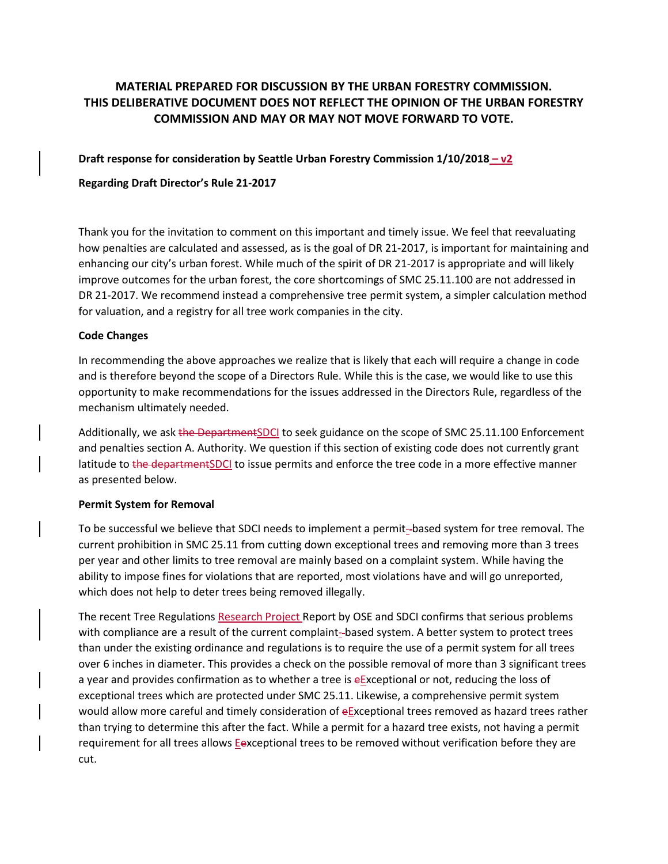# **MATERIAL PREPARED FOR DISCUSSION BY THE URBAN FORESTRY COMMISSION. THIS DELIBERATIVE DOCUMENT DOES NOT REFLECT THE OPINION OF THE URBAN FORESTRY COMMISSION AND MAY OR MAY NOT MOVE FORWARD TO VOTE.**

#### **Draft response for consideration by Seattle Urban Forestry Commission 1/10/2018 – v2**

#### **Regarding Draft Director's Rule 21-2017**

Thank you for the invitation to comment on this important and timely issue. We feel that reevaluating how penalties are calculated and assessed, as is the goal of DR 21-2017, is important for maintaining and enhancing our city's urban forest. While much of the spirit of DR 21-2017 is appropriate and will likely improve outcomes for the urban forest, the core shortcomings of SMC 25.11.100 are not addressed in DR 21-2017. We recommend instead a comprehensive tree permit system, a simpler calculation method for valuation, and a registry for all tree work companies in the city.

#### **Code Changes**

In recommending the above approaches we realize that is likely that each will require a change in code and is therefore beyond the scope of a Directors Rule. While this is the case, we would like to use this opportunity to make recommendations for the issues addressed in the Directors Rule, regardless of the mechanism ultimately needed.

Additionally, we ask the DepartmentSDCI to seek guidance on the scope of SMC 25.11.100 Enforcement and penalties section A. Authority. We question if this section of existing code does not currently grant latitude to the departmentSDCI to issue permits and enforce the tree code in a more effective manner as presented below.

### **Permit System for Removal**

To be successful we believe that SDCI needs to implement a permit- based system for tree removal. The current prohibition in SMC 25.11 from cutting down exceptional trees and removing more than 3 trees per year and other limits to tree removal are mainly based on a complaint system. While having the ability to impose fines for violations that are reported, most violations have and will go unreported, which does not help to deter trees being removed illegally.

The recent Tree Regulations Research Project Report by OSE and SDCI confirms that serious problems with compliance are a result of the current complaint-based system. A better system to protect trees than under the existing ordinance and regulations is to require the use of a permit system for all trees over 6 inches in diameter. This provides a check on the possible removal of more than 3 significant trees a year and provides confirmation as to whether a tree is eExceptional or not, reducing the loss of exceptional trees which are protected under SMC 25.11. Likewise, a comprehensive permit system would allow more careful and timely consideration of  $e<sub>E</sub>$ xceptional trees removed as hazard trees rather than trying to determine this after the fact. While a permit for a hazard tree exists, not having a permit requirement for all trees allows Eexceptional trees to be removed without verification before they are cut.